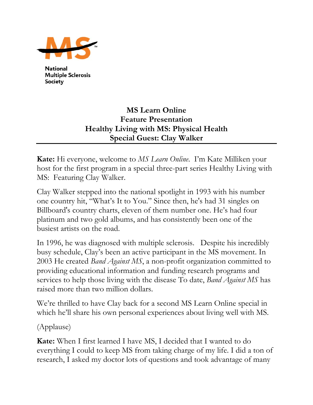

**National Multiple Sclerosis Society** 

## **MS Learn Online Feature Presentation Healthy Living with MS: Physical Health Special Guest: Clay Walker**

**Kate:** Hi everyone, welcome to *MS Learn Online*. I'm Kate Milliken your host for the first program in a special three-part series Healthy Living with MS: Featuring Clay Walker.

Clay Walker stepped into the national spotlight in 1993 with his number one country hit, "What's It to You." Since then, he's had 31 singles on Billboard's country charts, eleven of them number one. He's had four platinum and two gold albums, and has consistently been one of the busiest artists on the road.

In 1996, he was diagnosed with multiple sclerosis. Despite his incredibly busy schedule, Clay's been an active participant in the MS movement. In 2003 He created *Band Against MS*, a non-profit organization committed to providing educational information and funding research programs and services to help those living with the disease To date, *Band Against MS* has raised more than two million dollars.

We're thrilled to have Clay back for a second MS Learn Online special in which he'll share his own personal experiences about living well with MS.

(Applause)

**Kate:** When I first learned I have MS, I decided that I wanted to do everything I could to keep MS from taking charge of my life. I did a ton of research, I asked my doctor lots of questions and took advantage of many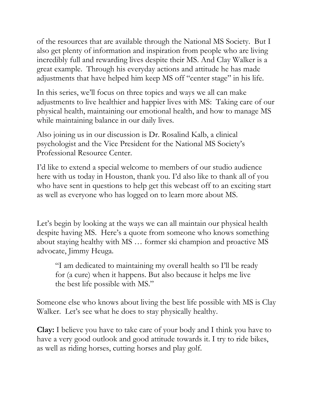of the resources that are available through the National MS Society. But I also get plenty of information and inspiration from people who are living incredibly full and rewarding lives despite their MS. And Clay Walker is a great example. Through his everyday actions and attitude he has made adjustments that have helped him keep MS off "center stage" in his life.

In this series, we'll focus on three topics and ways we all can make adjustments to live healthier and happier lives with MS: Taking care of our physical health, maintaining our emotional health, and how to manage MS while maintaining balance in our daily lives.

Also joining us in our discussion is Dr. Rosalind Kalb, a clinical psychologist and the Vice President for the National MS Society's Professional Resource Center.

I'd like to extend a special welcome to members of our studio audience here with us today in Houston, thank you. I'd also like to thank all of you who have sent in questions to help get this webcast off to an exciting start as well as everyone who has logged on to learn more about MS.

Let's begin by looking at the ways we can all maintain our physical health despite having MS. Here's a quote from someone who knows something about staying healthy with MS … former ski champion and proactive MS advocate, Jimmy Heuga.

"I am dedicated to maintaining my overall health so I'll be ready for (a cure) when it happens. But also because it helps me live the best life possible with MS."

Someone else who knows about living the best life possible with MS is Clay Walker. Let's see what he does to stay physically healthy.

**Clay:** I believe you have to take care of your body and I think you have to have a very good outlook and good attitude towards it. I try to ride bikes, as well as riding horses, cutting horses and play golf.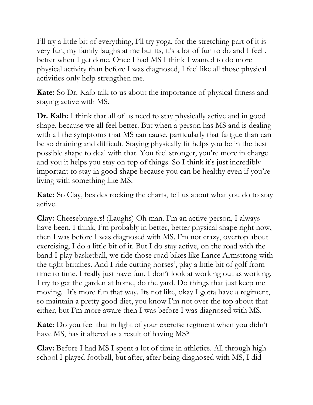I'll try a little bit of everything, I'll try yoga, for the stretching part of it is very fun, my family laughs at me but its, it's a lot of fun to do and I feel , better when I get done. Once I had MS I think I wanted to do more physical activity than before I was diagnosed, I feel like all those physical activities only help strengthen me.

**Kate:** So Dr. Kalb talk to us about the importance of physical fitness and staying active with MS.

**Dr. Kalb:** I think that all of us need to stay physically active and in good shape, because we all feel better. But when a person has MS and is dealing with all the symptoms that MS can cause, particularly that fatigue than can be so draining and difficult. Staying physically fit helps you be in the best possible shape to deal with that. You feel stronger, you're more in charge and you it helps you stay on top of things. So I think it's just incredibly important to stay in good shape because you can be healthy even if you're living with something like MS.

**Kate:** So Clay, besides rocking the charts, tell us about what you do to stay active.

**Clay:** Cheeseburgers! (Laughs) Oh man. I'm an active person, I always have been. I think, I'm probably in better, better physical shape right now, then I was before I was diagnosed with MS. I'm not crazy, overtop about exercising, I do a little bit of it. But I do stay active, on the road with the band I play basketball, we ride those road bikes like Lance Armstrong with the tight britches. And I ride cutting horses', play a little bit of golf from time to time. I really just have fun. I don't look at working out as working. I try to get the garden at home, do the yard. Do things that just keep me moving. It's more fun that way. Its not like, okay I gotta have a regiment, so maintain a pretty good diet, you know I'm not over the top about that either, but I'm more aware then I was before I was diagnosed with MS.

**Kate**: Do you feel that in light of your exercise regiment when you didn't have MS, has it altered as a result of having MS?

**Clay:** Before I had MS I spent a lot of time in athletics. All through high school I played football, but after, after being diagnosed with MS, I did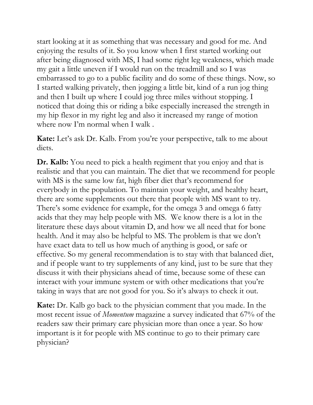start looking at it as something that was necessary and good for me. And enjoying the results of it. So you know when I first started working out after being diagnosed with MS, I had some right leg weakness, which made my gait a little uneven if I would run on the treadmill and so I was embarrassed to go to a public facility and do some of these things. Now, so I started walking privately, then jogging a little bit, kind of a run jog thing and then I built up where I could jog three miles without stopping. I noticed that doing this or riding a bike especially increased the strength in my hip flexor in my right leg and also it increased my range of motion where now I'm normal when I walk .

**Kate:** Let's ask Dr. Kalb. From you're your perspective, talk to me about diets.

**Dr. Kalb:** You need to pick a health regiment that you enjoy and that is realistic and that you can maintain. The diet that we recommend for people with MS is the same low fat, high fiber diet that's recommend for everybody in the population. To maintain your weight, and healthy heart, there are some supplements out there that people with MS want to try. There's some evidence for example, for the omega 3 and omega 6 fatty acids that they may help people with MS. We know there is a lot in the literature these days about vitamin D, and how we all need that for bone health. And it may also be helpful to MS. The problem is that we don't have exact data to tell us how much of anything is good, or safe or effective. So my general recommendation is to stay with that balanced diet, and if people want to try supplements of any kind, just to be sure that they discuss it with their physicians ahead of time, because some of these can interact with your immune system or with other medications that you're taking in ways that are not good for you. So it's always to check it out.

**Kate:** Dr. Kalb go back to the physician comment that you made. In the most recent issue of *Momentum* magazine a survey indicated that 67% of the readers saw their primary care physician more than once a year. So how important is it for people with MS continue to go to their primary care physician?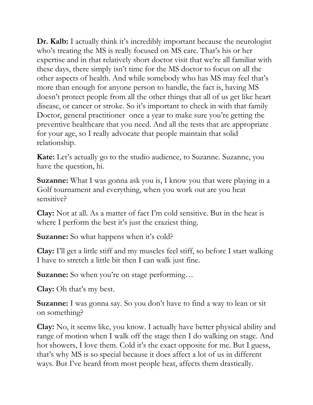**Dr. Kalb:** I actually think it's incredibly important because the neurologist who's treating the MS is really focused on MS care. That's his or her expertise and in that relatively short doctor visit that we're all familiar with these days, there simply isn't time for the MS doctor to focus on all the other aspects of health. And while somebody who has MS may feel that's more than enough for anyone person to handle, the fact is, having MS doesn't protect people from all the other things that all of us get like heart disease, or cancer or stroke. So it's important to check in with that family Doctor, general practitioner once a year to make sure you're getting the preventive healthcare that you need. And all the tests that are appropriate for your age, so I really advocate that people maintain that solid relationship.

**Kate:** Let's actually go to the studio audience, to Suzanne. Suzanne, you have the question, hi.

**Suzanne:** What I was gonna ask you is, I know you that were playing in a Golf tournament and everything, when you work out are you heat sensitive?

**Clay:** Not at all. As a matter of fact I'm cold sensitive. But in the heat is where I perform the best it's just the craziest thing.

**Suzanne:** So what happens when it's cold?

**Clay:** I'll get a little stiff and my muscles feel stiff, so before I start walking I have to stretch a little bit then I can walk just fine.

**Suzanne:** So when you're on stage performing...

**Clay:** Oh that's my best.

**Suzanne:** I was gonna say. So you don't have to find a way to lean or sit on something?

**Clay:** No, it seems like, you know. I actually have better physical ability and range of motion when I walk off the stage then I do walking on stage. And hot showers, I love them. Cold it's the exact opposite for me. But I guess, that's why MS is so special because it does affect a lot of us in different ways. But I've heard from most people heat, affects them drastically.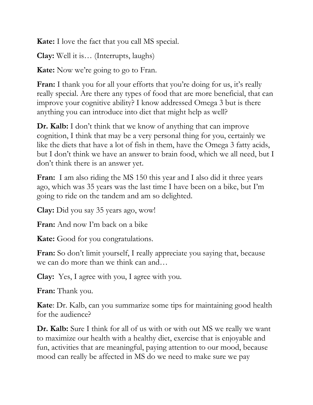**Kate:** I love the fact that you call MS special.

**Clay:** Well it is… (Interrupts, laughs)

**Kate:** Now we're going to go to Fran.

Fran: I thank you for all your efforts that you're doing for us, it's really really special. Are there any types of food that are more beneficial, that can improve your cognitive ability? I know addressed Omega 3 but is there anything you can introduce into diet that might help as well?

**Dr. Kalb:** I don't think that we know of anything that can improve cognition, I think that may be a very personal thing for you, certainly we like the diets that have a lot of fish in them, have the Omega 3 fatty acids, but I don't think we have an answer to brain food, which we all need, but I don't think there is an answer yet.

**Fran:** I am also riding the MS 150 this year and I also did it three years ago, which was 35 years was the last time I have been on a bike, but I'm going to ride on the tandem and am so delighted.

**Clay:** Did you say 35 years ago, wow!

**Fran:** And now I'm back on a bike

**Kate:** Good for you congratulations.

**Fran:** So don't limit yourself, I really appreciate you saying that, because we can do more than we think can and…

**Clay:** Yes, I agree with you, I agree with you.

**Fran:** Thank you.

**Kate**: Dr. Kalb, can you summarize some tips for maintaining good health for the audience?

**Dr. Kalb:** Sure I think for all of us with or with out MS we really we want to maximize our health with a healthy diet, exercise that is enjoyable and fun, activities that are meaningful, paying attention to our mood, because mood can really be affected in MS do we need to make sure we pay